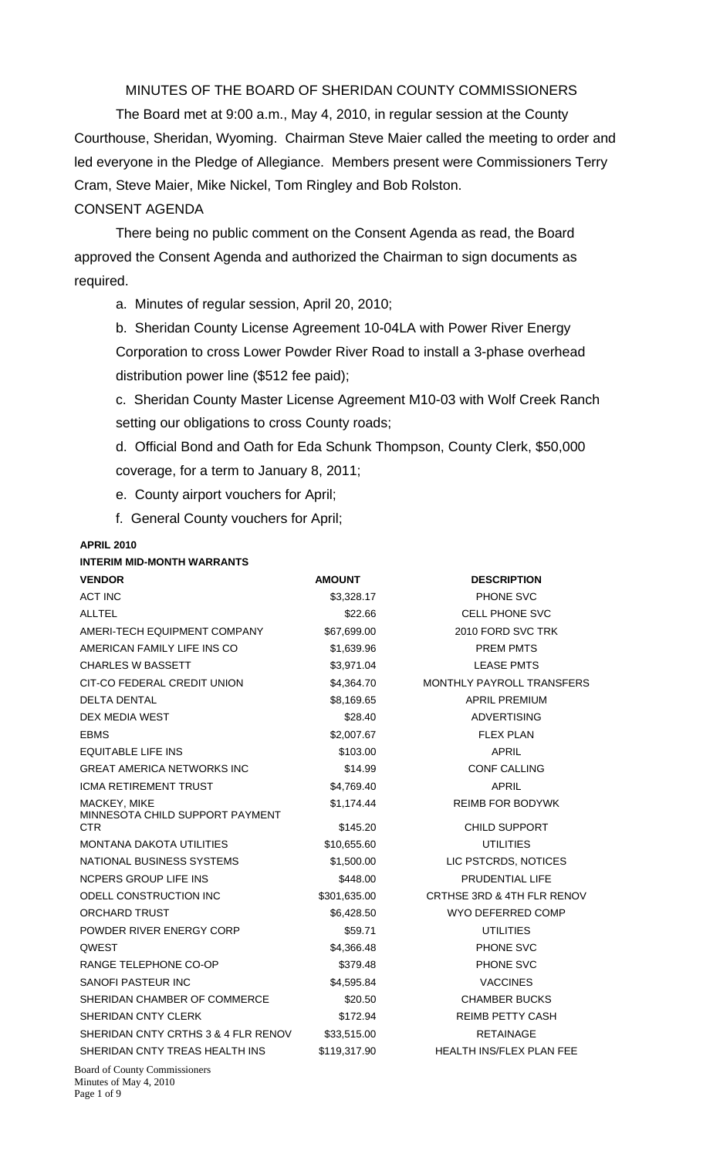MINUTES OF THE BOARD OF SHERIDAN COUNTY COMMISSIONERS

 The Board met at 9:00 a.m., May 4, 2010, in regular session at the County Courthouse, Sheridan, Wyoming. Chairman Steve Maier called the meeting to order and led everyone in the Pledge of Allegiance. Members present were Commissioners Terry Cram, Steve Maier, Mike Nickel, Tom Ringley and Bob Rolston. CONSENT AGENDA

There being no public comment on the Consent Agenda as read, the Board approved the Consent Agenda and authorized the Chairman to sign documents as required.

a. Minutes of regular session, April 20, 2010;

b. Sheridan County License Agreement 10-04LA with Power River Energy Corporation to cross Lower Powder River Road to install a 3-phase overhead distribution power line (\$512 fee paid);

c. Sheridan County Master License Agreement M10-03 with Wolf Creek Ranch setting our obligations to cross County roads;

d. Official Bond and Oath for Eda Schunk Thompson, County Clerk, \$50,000 coverage, for a term to January 8, 2011;

e. County airport vouchers for April;

f. General County vouchers for April;

#### **APRIL 2010**

#### **INTERIM MID-MONTH WARRANTS**

| <b>VENDOR</b>                                 | <b>AMOUNT</b> | <b>DESCRIPTION</b>              |
|-----------------------------------------------|---------------|---------------------------------|
| <b>ACT INC</b>                                | \$3,328.17    | PHONE SVC                       |
| <b>ALLTEL</b>                                 | \$22.66       | <b>CELL PHONE SVC</b>           |
| AMERI-TECH EQUIPMENT COMPANY                  | \$67,699.00   | 2010 FORD SVC TRK               |
| AMERICAN FAMILY LIFE INS CO                   | \$1,639.96    | <b>PREM PMTS</b>                |
| <b>CHARLES W BASSETT</b>                      | \$3,971.04    | <b>LEASE PMTS</b>               |
| CIT-CO FEDERAL CREDIT UNION                   | \$4,364.70    | MONTHLY PAYROLL TRANSFERS       |
| <b>DELTA DENTAL</b>                           | \$8,169.65    | <b>APRIL PREMIUM</b>            |
| DEX MEDIA WEST                                | \$28.40       | <b>ADVERTISING</b>              |
| <b>EBMS</b>                                   | \$2,007.67    | <b>FLEX PLAN</b>                |
| <b>EQUITABLE LIFE INS</b>                     | \$103.00      | <b>APRIL</b>                    |
| <b>GREAT AMERICA NETWORKS INC</b>             | \$14.99       | <b>CONF CALLING</b>             |
| <b>ICMA RETIREMENT TRUST</b>                  | \$4,769.40    | <b>APRIL</b>                    |
| MACKEY, MIKE                                  | \$1,174.44    | <b>REIMB FOR BODYWK</b>         |
| MINNESOTA CHILD SUPPORT PAYMENT<br><b>CTR</b> | \$145.20      | <b>CHILD SUPPORT</b>            |
| <b>MONTANA DAKOTA UTILITIES</b>               | \$10,655.60   | <b>UTILITIES</b>                |
| NATIONAL BUSINESS SYSTEMS                     | \$1,500.00    | LIC PSTCRDS, NOTICES            |
| NCPERS GROUP LIFE INS                         | \$448.00      | PRUDENTIAL LIFE                 |
| ODELL CONSTRUCTION INC                        | \$301,635.00  | CRTHSE 3RD & 4TH FLR RENOV      |
| <b>ORCHARD TRUST</b>                          | \$6,428.50    | WYO DEFERRED COMP               |
| POWDER RIVER ENERGY CORP                      | \$59.71       | <b>UTILITIES</b>                |
| QWEST                                         | \$4,366.48    | PHONE SVC                       |
| RANGE TELEPHONE CO-OP                         | \$379.48      | PHONE SVC                       |
| <b>SANOFI PASTEUR INC</b>                     | \$4,595.84    | <b>VACCINES</b>                 |
| SHERIDAN CHAMBER OF COMMERCE                  | \$20.50       | <b>CHAMBER BUCKS</b>            |
| SHERIDAN CNTY CLERK                           | \$172.94      | <b>REIMB PETTY CASH</b>         |
| SHERIDAN CNTY CRTHS 3 & 4 FLR RENOV           | \$33,515.00   | <b>RETAINAGE</b>                |
| SHERIDAN CNTY TREAS HEALTH INS                | \$119,317.90  | <b>HEALTH INS/FLEX PLAN FEE</b> |
| $D_{cond}$ of $C_{current}$ , $C_{normal}$    |               |                                 |

Board of County Commissioners Minutes of May 4, 2010 Page 1 of 9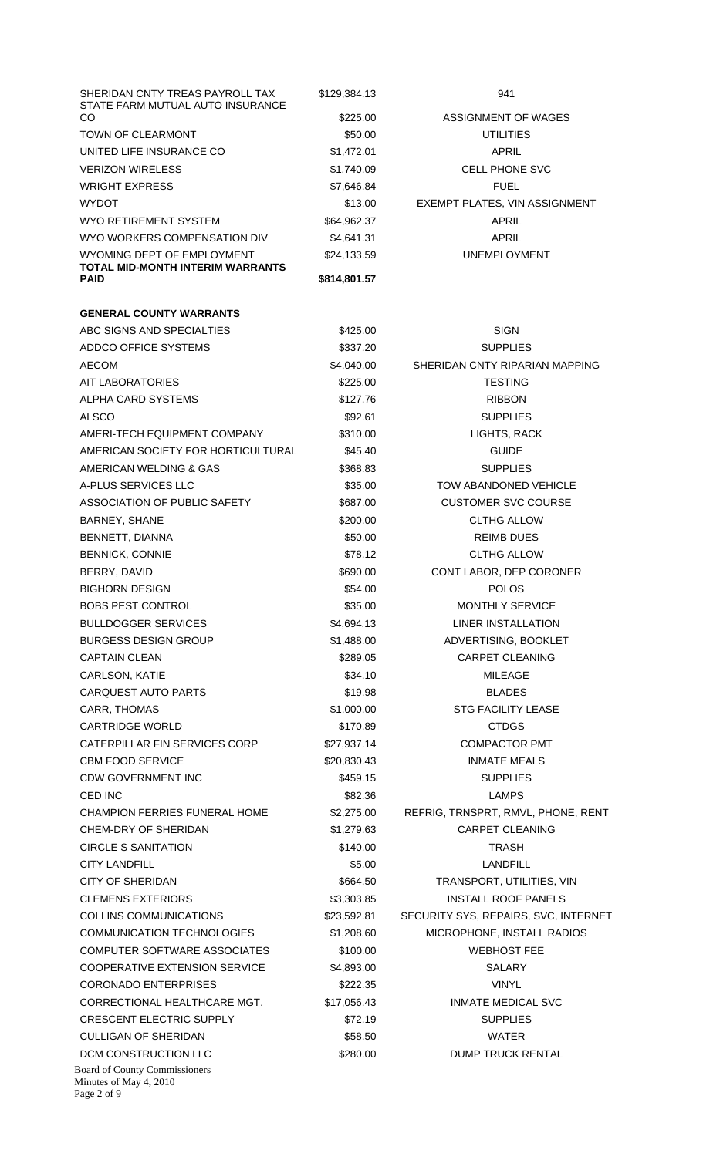| SHERIDAN CNTY TREAS PAYROLL TAX                                               | \$129,384.13           | 941                                  |
|-------------------------------------------------------------------------------|------------------------|--------------------------------------|
| STATE FARM MUTUAL AUTO INSURANCE<br>CO                                        | \$225.00               | ASSIGNMENT OF WAGES                  |
| <b>TOWN OF CLEARMONT</b>                                                      | \$50.00                | <b>UTILITIES</b>                     |
| UNITED LIFE INSURANCE CO                                                      | \$1,472.01             | APRIL                                |
| <b>VERIZON WIRELESS</b>                                                       | \$1,740.09             | <b>CELL PHONE SVC</b>                |
| <b>WRIGHT EXPRESS</b>                                                         | \$7,646.84             | <b>FUEL</b>                          |
| <b>WYDOT</b>                                                                  | \$13.00                | EXEMPT PLATES, VIN ASSIGNMENT        |
| WYO RETIREMENT SYSTEM                                                         | \$64,962.37            | APRIL                                |
| WYO WORKERS COMPENSATION DIV                                                  | \$4,641.31             | APRIL                                |
| WYOMING DEPT OF EMPLOYMENT                                                    | \$24,133.59            | <b>UNEMPLOYMENT</b>                  |
| TOTAL MID-MONTH INTERIM WARRANTS<br><b>PAID</b>                               | \$814,801.57           |                                      |
| <b>GENERAL COUNTY WARRANTS</b>                                                |                        |                                      |
| ABC SIGNS AND SPECIALTIES                                                     | \$425.00               | <b>SIGN</b>                          |
| ADDCO OFFICE SYSTEMS                                                          |                        | <b>SUPPLIES</b>                      |
| <b>AECOM</b>                                                                  | \$337.20               | SHERIDAN CNTY RIPARIAN MAPPING       |
|                                                                               | \$4,040.00<br>\$225.00 | <b>TESTING</b>                       |
| AIT LABORATORIES                                                              |                        |                                      |
| ALPHA CARD SYSTEMS                                                            | \$127.76               | <b>RIBBON</b>                        |
| ALSCO                                                                         | \$92.61                | <b>SUPPLIES</b>                      |
| AMERI-TECH EQUIPMENT COMPANY                                                  | \$310.00               | LIGHTS, RACK                         |
| AMERICAN SOCIETY FOR HORTICULTURAL                                            | \$45.40                | <b>GUIDE</b>                         |
| AMERICAN WELDING & GAS                                                        | \$368.83               | <b>SUPPLIES</b>                      |
| A-PLUS SERVICES LLC                                                           | \$35.00                | TOW ABANDONED VEHICLE                |
| ASSOCIATION OF PUBLIC SAFETY                                                  | \$687.00               | <b>CUSTOMER SVC COURSE</b>           |
| BARNEY, SHANE                                                                 | \$200.00               | <b>CLTHG ALLOW</b>                   |
| BENNETT, DIANNA                                                               | \$50.00                | <b>REIMB DUES</b>                    |
| <b>BENNICK, CONNIE</b>                                                        | \$78.12                | <b>CLTHG ALLOW</b>                   |
| BERRY, DAVID                                                                  | \$690.00               | CONT LABOR, DEP CORONER              |
| <b>BIGHORN DESIGN</b>                                                         | \$54.00                | <b>POLOS</b>                         |
| <b>BOBS PEST CONTROL</b>                                                      | \$35.00                | <b>MONTHLY SERVICE</b>               |
| <b>BULLDOGGER SERVICES</b>                                                    | \$4,694.13             | <b>LINER INSTALLATION</b>            |
| <b>BURGESS DESIGN GROUP</b>                                                   | \$1,488.00             | ADVERTISING, BOOKLET                 |
| <b>CAPTAIN CLEAN</b>                                                          | \$289.05               | <b>CARPET CLEANING</b>               |
| CARLSON, KATIE                                                                | \$34.10                | <b>MILEAGE</b>                       |
| <b>CARQUEST AUTO PARTS</b>                                                    | \$19.98                | <b>BLADES</b>                        |
| CARR, THOMAS                                                                  | \$1,000.00             | <b>STG FACILITY LEASE</b>            |
| <b>CARTRIDGE WORLD</b>                                                        | \$170.89               | <b>CTDGS</b>                         |
| CATERPILLAR FIN SERVICES CORP                                                 | \$27,937.14            | <b>COMPACTOR PMT</b>                 |
| <b>CBM FOOD SERVICE</b>                                                       | \$20,830.43            | <b>INMATE MEALS</b>                  |
| <b>CDW GOVERNMENT INC</b>                                                     | \$459.15               | <b>SUPPLIES</b>                      |
| CED INC                                                                       | \$82.36                | <b>LAMPS</b>                         |
| <b>CHAMPION FERRIES FUNERAL HOME</b>                                          | \$2,275.00             | REFRIG, TRNSPRT, RMVL, PHONE, RENT   |
| CHEM-DRY OF SHERIDAN                                                          | \$1,279.63             | <b>CARPET CLEANING</b>               |
| CIRCLE S SANITATION                                                           | \$140.00               | <b>TRASH</b>                         |
| <b>CITY LANDFILL</b>                                                          | \$5.00                 | <b>LANDFILL</b>                      |
| <b>CITY OF SHERIDAN</b>                                                       | \$664.50               | TRANSPORT, UTILITIES, VIN            |
| <b>CLEMENS EXTERIORS</b>                                                      | \$3,303.85             | <b>INSTALL ROOF PANELS</b>           |
| COLLINS COMMUNICATIONS                                                        | \$23,592.81            | SECURITY SYS, REPAIRS, SVC, INTERNET |
| <b>COMMUNICATION TECHNOLOGIES</b>                                             | \$1,208.60             | MICROPHONE, INSTALL RADIOS           |
| COMPUTER SOFTWARE ASSOCIATES                                                  | \$100.00               | <b>WEBHOST FEE</b>                   |
| <b>COOPERATIVE EXTENSION SERVICE</b>                                          |                        | <b>SALARY</b>                        |
| <b>CORONADO ENTERPRISES</b>                                                   | \$4,893.00             |                                      |
|                                                                               | \$222.35               | <b>VINYL</b>                         |
| CORRECTIONAL HEALTHCARE MGT.                                                  | \$17,056.43            | <b>INMATE MEDICAL SVC</b>            |
| <b>CRESCENT ELECTRIC SUPPLY</b>                                               | \$72.19                | <b>SUPPLIES</b>                      |
| <b>CULLIGAN OF SHERIDAN</b>                                                   | \$58.50                | <b>WATER</b>                         |
| DCM CONSTRUCTION LLC                                                          | \$280.00               | <b>DUMP TRUCK RENTAL</b>             |
| <b>Board of County Commissioners</b><br>Minutes of May 4, 2010<br>Page 2 of 9 |                        |                                      |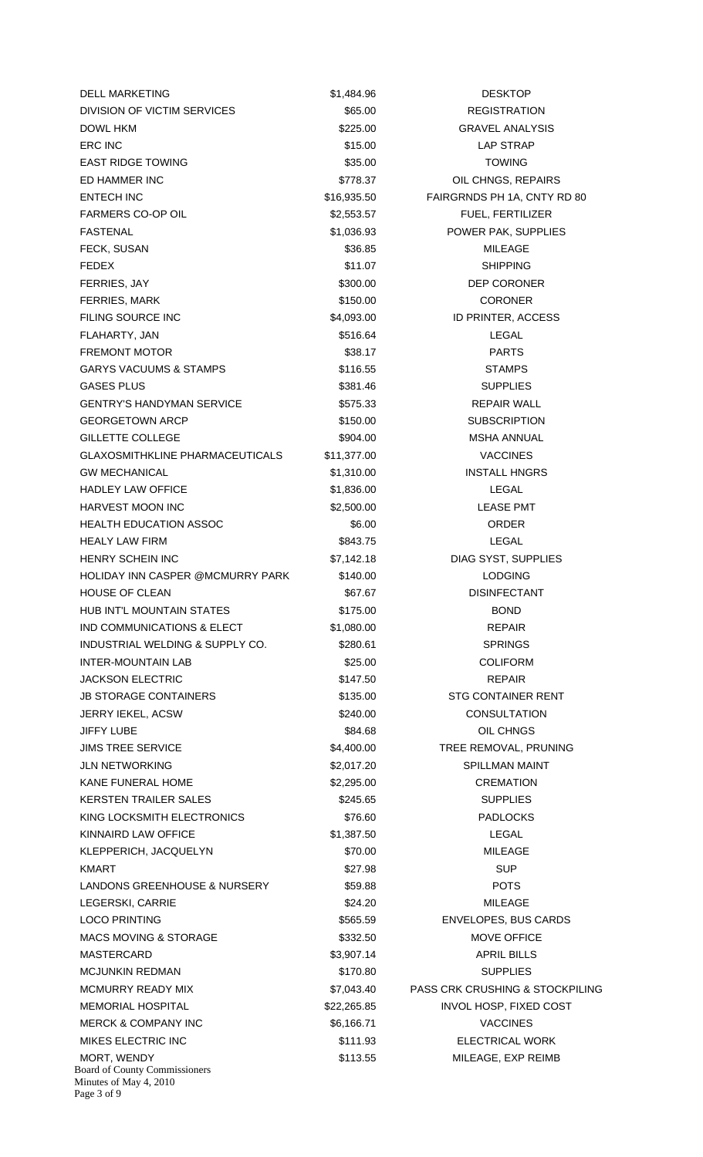Board of County Commissioners Minutes of May 4, 2010 Page 3 of 9 DELL MARKETING **\$1,484.96** DESKTOP DIVISION OF VICTIM SERVICES  $$65.00$  REGISTRATION DOWL HKM \$225.00 GRAVEL ANALYSIS ERC INC \$15.00 LAP STRAP EAST RIDGE TOWING **EAST RIDGE TOWING** \$35.00 \$35.00 TOWING ED HAMMER INC **EXECUTE:** THE STATE STATE STATE STATE STATE OIL CHNGS, REPAIRS ENTECH INC \$16,935.50 FAIRGRNDS PH 1A, CNTY RD 80 FARMERS CO-OP OIL **Example 2018** \$2,553.57 FUEL, FERTILIZER FASTENAL **EXECUTE:** THE STATE STATE STATES AND STATE STATES AND POWER PAK, SUPPLIES FECK SUSAN \$36.85 MILEAGE FEDEX \$11.07 SHIPPING FERRIES, JAY \$300.00 DEP CORONER FERRIES, MARK \$150.00 CORONER FILING SOURCE INC **\$4,093.00** S4,093.00 ID PRINTER, ACCESS FLAHARTY, JAN \$516.64 LEGAL FREMONT MOTOR **\$38.17** \$38.17 PARTS GARYS VACUUMS & STAMPS  $$116.55$   $$510.55$  STAMPS GASES PLUS \$381.46 SUPPLIES GENTRY'S HANDYMAN SERVICE **1998 SEPAIR SERVICE** \$575.33 **REPAIR WALL** GEORGETOWN ARCP \$150.00 SUBSCRIPTION GILLETTE COLLEGE \$904.00 MSHA ANNUAL GLAXOSMITHKLINE PHARMACEUTICALS \$11,377.00 \$11,371.00 GW MECHANICAL **60 CONTROL CONTROL** S1,310.00 **INSTALL HNGRS** HADLEY LAW OFFICE **1.836.00** S1,836.00 **LEGAL** HARVEST MOON INC  $$2,500.00$  LEASE PMT HEALTH EDUCATION ASSOC **\$6.00** \$6.00 ORDER HEALY LAW FIRM **\$843.75** S843.75 LEGAL HENRY SCHEIN INC **\$7,142.18** DIAG SYST, SUPPLIES HOLIDAY INN CASPER @MCMURRY PARK \$140.00 LODGING HOUSE OF CLEAN **1999 CLEAN** \$67.67 DISINFECTANT HUB INT'L MOUNTAIN STATES \$175.00 BOND IND COMMUNICATIONS & ELECT \$1,080.00 \$1,080.00 INDUSTRIAL WELDING & SUPPLY CO.  $$280.61$  SPRINGS INTER-MOUNTAIN LAB \$25.00 COLIFORM JACKSON ELECTRIC **\$147.50 REPAIR** JB STORAGE CONTAINERS \$135.00 STG CONTAINER RENT JERRY IEKEL, ACSW **EXECUTE 1999 CONSULTATION** \$240.00 CONSULTATION JIFFY LUBE \$84.68 OIL CHNGS JIMS TREE SERVICE **12000 SALLE 1999** \$4,400.00 TREE REMOVAL, PRUNING JLN NETWORKING \$2,017.20 SPILLMAN MAINT KANE FUNERAL HOME **82,295.00** \$2,295.00 CREMATION KERSTEN TRAILER SALES \$245.65 SUPPLIES KING LOCKSMITH ELECTRONICS  $$76.60$  PADLOCKS KINNAIRD LAW OFFICE **1.287.50** S1,387.50 LEGAL KLEPPERICH, JACQUELYN \$70.00 \$70.00 MILEAGE KMART \$27.98 SUP LANDONS GREENHOUSE & NURSERY \$59.88 POTS LEGERSKI, CARRIE \$24.20 MILEAGE LOCO PRINTING **1990 ENVELOPES, BUS CARDS** \$565.59 ENVELOPES, BUS CARDS MACS MOVING & STORAGE \$332.50 MOVE OFFICE MASTERCARD \$3,907.14 APRIL BILLS MCJUNKIN REDMAN 6170.80 SUPPLIES MCMURRY READY MIX \$7,043.40 PASS CRK CRUSHING & STOCKPILING MEMORIAL HOSPITAL \$22,265.85 INVOL HOSP, FIXED COST MERCK & COMPANY INC \$6,166.71 S6,166.71 VACCINES MIKES ELECTRIC INC **Alternative State State State State State State State State State State State State State State** MORT, WENDY **120 CONTROLLER IN THE STATE STATES ASSESSED AT A STATE OF STATE AND MILEAGE, EXP REIMB**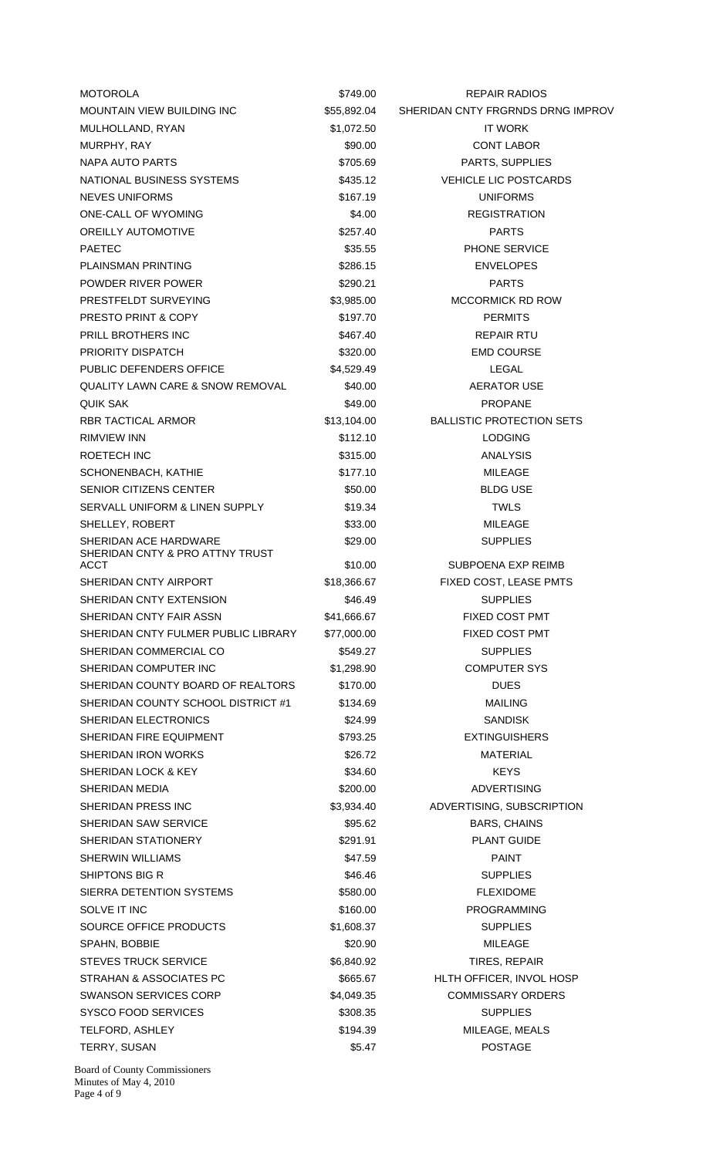| SHERIDAN CNTY FRGRNDS DRNG IMPROV<br><b>MOUNTAIN VIEW BUILDING INC</b><br>\$55,892.04<br>MULHOLLAND, RYAN<br>\$1,072.50<br><b>IT WORK</b><br>MURPHY, RAY<br>\$90.00<br><b>CONT LABOR</b><br>PARTS, SUPPLIES<br>NAPA AUTO PARTS<br>\$705.69<br>NATIONAL BUSINESS SYSTEMS<br>\$435.12<br><b>VEHICLE LIC POSTCARDS</b><br>NEVES UNIFORMS<br>\$167.19<br><b>UNIFORMS</b><br><b>ONE-CALL OF WYOMING</b><br><b>REGISTRATION</b><br>\$4.00<br><b>OREILLY AUTOMOTIVE</b><br>\$257.40<br><b>PARTS</b><br>PHONE SERVICE<br><b>PAETEC</b><br>\$35.55<br><b>PLAINSMAN PRINTING</b><br>\$286.15<br><b>ENVELOPES</b><br>POWDER RIVER POWER<br>\$290.21<br><b>PARTS</b><br>PRESTFELDT SURVEYING<br>\$3,985.00<br><b>MCCORMICK RD ROW</b><br><b>PRESTO PRINT &amp; COPY</b><br>\$197.70<br><b>PERMITS</b><br><b>PRILL BROTHERS INC</b><br>\$467.40<br><b>REPAIR RTU</b><br>PRIORITY DISPATCH<br><b>EMD COURSE</b><br>\$320.00<br>PUBLIC DEFENDERS OFFICE<br>\$4,529.49<br>LEGAL<br><b>QUALITY LAWN CARE &amp; SNOW REMOVAL</b><br>\$40.00<br>AERATOR USE<br><b>QUIK SAK</b><br>\$49.00<br><b>PROPANE</b><br><b>RBR TACTICAL ARMOR</b><br><b>BALLISTIC PROTECTION SETS</b><br>\$13,104.00<br>RIMVIEW INN<br>\$112.10<br><b>LODGING</b><br><b>ROETECH INC</b><br>\$315.00<br><b>ANALYSIS</b><br>SCHONENBACH, KATHIE<br>\$177.10<br><b>MILEAGE</b><br>SENIOR CITIZENS CENTER<br>\$50.00<br><b>BLDG USE</b><br><b>TWLS</b><br>SERVALL UNIFORM & LINEN SUPPLY<br>\$19.34<br>\$33.00<br>MILEAGE<br>SHELLEY, ROBERT<br>SHERIDAN ACE HARDWARE<br>\$29.00<br><b>SUPPLIES</b><br>SHERIDAN CNTY & PRO ATTNY TRUST<br><b>ACCT</b><br>\$10.00<br>SUBPOENA EXP REIMB<br>SHERIDAN CNTY AIRPORT<br>\$18,366.67<br>FIXED COST, LEASE PMTS<br>SHERIDAN CNTY EXTENSION<br><b>SUPPLIES</b><br>\$46.49<br>SHERIDAN CNTY FAIR ASSN<br><b>FIXED COST PMT</b><br>\$41,666.67<br>SHERIDAN CNTY FULMER PUBLIC LIBRARY<br>FIXED COST PMT<br>\$77,000.00<br>SHERIDAN COMMERCIAL CO<br>\$549.27<br><b>SUPPLIES</b><br><b>COMPUTER SYS</b><br>SHERIDAN COMPUTER INC<br>\$1,298.90<br>SHERIDAN COUNTY BOARD OF REALTORS<br><b>DUES</b><br>\$170.00<br>SHERIDAN COUNTY SCHOOL DISTRICT #1<br><b>MAILING</b><br>\$134.69<br>SHERIDAN ELECTRONICS<br>\$24.99<br><b>SANDISK</b><br>SHERIDAN FIRE EQUIPMENT<br>\$793.25<br><b>EXTINGUISHERS</b><br><b>MATERIAL</b><br><b>SHERIDAN IRON WORKS</b><br>\$26.72<br><b>KEYS</b><br>SHERIDAN LOCK & KEY<br>\$34.60<br>SHERIDAN MEDIA<br>\$200.00<br><b>ADVERTISING</b><br>ADVERTISING, SUBSCRIPTION<br>SHERIDAN PRESS INC<br>\$3,934.40<br>SHERIDAN SAW SERVICE<br>\$95.62<br><b>BARS, CHAINS</b><br>SHERIDAN STATIONERY<br>\$291.91<br><b>PLANT GUIDE</b><br><b>SHERWIN WILLIAMS</b><br>\$47.59<br><b>PAINT</b><br>SHIPTONS BIG R<br>\$46.46<br><b>SUPPLIES</b><br>SIERRA DETENTION SYSTEMS<br>\$580.00<br><b>FLEXIDOME</b><br>SOLVE IT INC<br><b>PROGRAMMING</b><br>\$160.00<br>SOURCE OFFICE PRODUCTS<br>\$1,608.37<br><b>SUPPLIES</b><br>SPAHN, BOBBIE<br>\$20.90<br>MILEAGE<br><b>STEVES TRUCK SERVICE</b><br>TIRES, REPAIR<br>\$6,840.92<br>STRAHAN & ASSOCIATES PC<br>HLTH OFFICER, INVOL HOSP<br>\$665.67<br><b>COMMISSARY ORDERS</b><br><b>SWANSON SERVICES CORP</b><br>\$4,049.35<br><b>SYSCO FOOD SERVICES</b><br>\$308.35<br><b>SUPPLIES</b><br>MILEAGE, MEALS<br>TELFORD, ASHLEY<br>\$194.39<br><b>POSTAGE</b><br>TERRY, SUSAN<br>\$5.47<br><b>Board of County Commissioners</b> | <b>MOTOROLA</b> | \$749.00 | REPAIR RADIOS |
|-------------------------------------------------------------------------------------------------------------------------------------------------------------------------------------------------------------------------------------------------------------------------------------------------------------------------------------------------------------------------------------------------------------------------------------------------------------------------------------------------------------------------------------------------------------------------------------------------------------------------------------------------------------------------------------------------------------------------------------------------------------------------------------------------------------------------------------------------------------------------------------------------------------------------------------------------------------------------------------------------------------------------------------------------------------------------------------------------------------------------------------------------------------------------------------------------------------------------------------------------------------------------------------------------------------------------------------------------------------------------------------------------------------------------------------------------------------------------------------------------------------------------------------------------------------------------------------------------------------------------------------------------------------------------------------------------------------------------------------------------------------------------------------------------------------------------------------------------------------------------------------------------------------------------------------------------------------------------------------------------------------------------------------------------------------------------------------------------------------------------------------------------------------------------------------------------------------------------------------------------------------------------------------------------------------------------------------------------------------------------------------------------------------------------------------------------------------------------------------------------------------------------------------------------------------------------------------------------------------------------------------------------------------------------------------------------------------------------------------------------------------------------------------------------------------------------------------------------------------------------------------------------------------------------------------------------------------------------------------------------------------------------------------------------------------------------------------------------------------------------------------------------------------------------------------------------------------------------------------------------------------------------------------------------------------------------------------------------------------------------------------|-----------------|----------|---------------|
|                                                                                                                                                                                                                                                                                                                                                                                                                                                                                                                                                                                                                                                                                                                                                                                                                                                                                                                                                                                                                                                                                                                                                                                                                                                                                                                                                                                                                                                                                                                                                                                                                                                                                                                                                                                                                                                                                                                                                                                                                                                                                                                                                                                                                                                                                                                                                                                                                                                                                                                                                                                                                                                                                                                                                                                                                                                                                                                                                                                                                                                                                                                                                                                                                                                                                                                                                                                     |                 |          |               |
|                                                                                                                                                                                                                                                                                                                                                                                                                                                                                                                                                                                                                                                                                                                                                                                                                                                                                                                                                                                                                                                                                                                                                                                                                                                                                                                                                                                                                                                                                                                                                                                                                                                                                                                                                                                                                                                                                                                                                                                                                                                                                                                                                                                                                                                                                                                                                                                                                                                                                                                                                                                                                                                                                                                                                                                                                                                                                                                                                                                                                                                                                                                                                                                                                                                                                                                                                                                     |                 |          |               |
|                                                                                                                                                                                                                                                                                                                                                                                                                                                                                                                                                                                                                                                                                                                                                                                                                                                                                                                                                                                                                                                                                                                                                                                                                                                                                                                                                                                                                                                                                                                                                                                                                                                                                                                                                                                                                                                                                                                                                                                                                                                                                                                                                                                                                                                                                                                                                                                                                                                                                                                                                                                                                                                                                                                                                                                                                                                                                                                                                                                                                                                                                                                                                                                                                                                                                                                                                                                     |                 |          |               |
|                                                                                                                                                                                                                                                                                                                                                                                                                                                                                                                                                                                                                                                                                                                                                                                                                                                                                                                                                                                                                                                                                                                                                                                                                                                                                                                                                                                                                                                                                                                                                                                                                                                                                                                                                                                                                                                                                                                                                                                                                                                                                                                                                                                                                                                                                                                                                                                                                                                                                                                                                                                                                                                                                                                                                                                                                                                                                                                                                                                                                                                                                                                                                                                                                                                                                                                                                                                     |                 |          |               |
|                                                                                                                                                                                                                                                                                                                                                                                                                                                                                                                                                                                                                                                                                                                                                                                                                                                                                                                                                                                                                                                                                                                                                                                                                                                                                                                                                                                                                                                                                                                                                                                                                                                                                                                                                                                                                                                                                                                                                                                                                                                                                                                                                                                                                                                                                                                                                                                                                                                                                                                                                                                                                                                                                                                                                                                                                                                                                                                                                                                                                                                                                                                                                                                                                                                                                                                                                                                     |                 |          |               |
|                                                                                                                                                                                                                                                                                                                                                                                                                                                                                                                                                                                                                                                                                                                                                                                                                                                                                                                                                                                                                                                                                                                                                                                                                                                                                                                                                                                                                                                                                                                                                                                                                                                                                                                                                                                                                                                                                                                                                                                                                                                                                                                                                                                                                                                                                                                                                                                                                                                                                                                                                                                                                                                                                                                                                                                                                                                                                                                                                                                                                                                                                                                                                                                                                                                                                                                                                                                     |                 |          |               |
|                                                                                                                                                                                                                                                                                                                                                                                                                                                                                                                                                                                                                                                                                                                                                                                                                                                                                                                                                                                                                                                                                                                                                                                                                                                                                                                                                                                                                                                                                                                                                                                                                                                                                                                                                                                                                                                                                                                                                                                                                                                                                                                                                                                                                                                                                                                                                                                                                                                                                                                                                                                                                                                                                                                                                                                                                                                                                                                                                                                                                                                                                                                                                                                                                                                                                                                                                                                     |                 |          |               |
|                                                                                                                                                                                                                                                                                                                                                                                                                                                                                                                                                                                                                                                                                                                                                                                                                                                                                                                                                                                                                                                                                                                                                                                                                                                                                                                                                                                                                                                                                                                                                                                                                                                                                                                                                                                                                                                                                                                                                                                                                                                                                                                                                                                                                                                                                                                                                                                                                                                                                                                                                                                                                                                                                                                                                                                                                                                                                                                                                                                                                                                                                                                                                                                                                                                                                                                                                                                     |                 |          |               |
|                                                                                                                                                                                                                                                                                                                                                                                                                                                                                                                                                                                                                                                                                                                                                                                                                                                                                                                                                                                                                                                                                                                                                                                                                                                                                                                                                                                                                                                                                                                                                                                                                                                                                                                                                                                                                                                                                                                                                                                                                                                                                                                                                                                                                                                                                                                                                                                                                                                                                                                                                                                                                                                                                                                                                                                                                                                                                                                                                                                                                                                                                                                                                                                                                                                                                                                                                                                     |                 |          |               |
|                                                                                                                                                                                                                                                                                                                                                                                                                                                                                                                                                                                                                                                                                                                                                                                                                                                                                                                                                                                                                                                                                                                                                                                                                                                                                                                                                                                                                                                                                                                                                                                                                                                                                                                                                                                                                                                                                                                                                                                                                                                                                                                                                                                                                                                                                                                                                                                                                                                                                                                                                                                                                                                                                                                                                                                                                                                                                                                                                                                                                                                                                                                                                                                                                                                                                                                                                                                     |                 |          |               |
|                                                                                                                                                                                                                                                                                                                                                                                                                                                                                                                                                                                                                                                                                                                                                                                                                                                                                                                                                                                                                                                                                                                                                                                                                                                                                                                                                                                                                                                                                                                                                                                                                                                                                                                                                                                                                                                                                                                                                                                                                                                                                                                                                                                                                                                                                                                                                                                                                                                                                                                                                                                                                                                                                                                                                                                                                                                                                                                                                                                                                                                                                                                                                                                                                                                                                                                                                                                     |                 |          |               |
|                                                                                                                                                                                                                                                                                                                                                                                                                                                                                                                                                                                                                                                                                                                                                                                                                                                                                                                                                                                                                                                                                                                                                                                                                                                                                                                                                                                                                                                                                                                                                                                                                                                                                                                                                                                                                                                                                                                                                                                                                                                                                                                                                                                                                                                                                                                                                                                                                                                                                                                                                                                                                                                                                                                                                                                                                                                                                                                                                                                                                                                                                                                                                                                                                                                                                                                                                                                     |                 |          |               |
|                                                                                                                                                                                                                                                                                                                                                                                                                                                                                                                                                                                                                                                                                                                                                                                                                                                                                                                                                                                                                                                                                                                                                                                                                                                                                                                                                                                                                                                                                                                                                                                                                                                                                                                                                                                                                                                                                                                                                                                                                                                                                                                                                                                                                                                                                                                                                                                                                                                                                                                                                                                                                                                                                                                                                                                                                                                                                                                                                                                                                                                                                                                                                                                                                                                                                                                                                                                     |                 |          |               |
|                                                                                                                                                                                                                                                                                                                                                                                                                                                                                                                                                                                                                                                                                                                                                                                                                                                                                                                                                                                                                                                                                                                                                                                                                                                                                                                                                                                                                                                                                                                                                                                                                                                                                                                                                                                                                                                                                                                                                                                                                                                                                                                                                                                                                                                                                                                                                                                                                                                                                                                                                                                                                                                                                                                                                                                                                                                                                                                                                                                                                                                                                                                                                                                                                                                                                                                                                                                     |                 |          |               |
|                                                                                                                                                                                                                                                                                                                                                                                                                                                                                                                                                                                                                                                                                                                                                                                                                                                                                                                                                                                                                                                                                                                                                                                                                                                                                                                                                                                                                                                                                                                                                                                                                                                                                                                                                                                                                                                                                                                                                                                                                                                                                                                                                                                                                                                                                                                                                                                                                                                                                                                                                                                                                                                                                                                                                                                                                                                                                                                                                                                                                                                                                                                                                                                                                                                                                                                                                                                     |                 |          |               |
|                                                                                                                                                                                                                                                                                                                                                                                                                                                                                                                                                                                                                                                                                                                                                                                                                                                                                                                                                                                                                                                                                                                                                                                                                                                                                                                                                                                                                                                                                                                                                                                                                                                                                                                                                                                                                                                                                                                                                                                                                                                                                                                                                                                                                                                                                                                                                                                                                                                                                                                                                                                                                                                                                                                                                                                                                                                                                                                                                                                                                                                                                                                                                                                                                                                                                                                                                                                     |                 |          |               |
|                                                                                                                                                                                                                                                                                                                                                                                                                                                                                                                                                                                                                                                                                                                                                                                                                                                                                                                                                                                                                                                                                                                                                                                                                                                                                                                                                                                                                                                                                                                                                                                                                                                                                                                                                                                                                                                                                                                                                                                                                                                                                                                                                                                                                                                                                                                                                                                                                                                                                                                                                                                                                                                                                                                                                                                                                                                                                                                                                                                                                                                                                                                                                                                                                                                                                                                                                                                     |                 |          |               |
|                                                                                                                                                                                                                                                                                                                                                                                                                                                                                                                                                                                                                                                                                                                                                                                                                                                                                                                                                                                                                                                                                                                                                                                                                                                                                                                                                                                                                                                                                                                                                                                                                                                                                                                                                                                                                                                                                                                                                                                                                                                                                                                                                                                                                                                                                                                                                                                                                                                                                                                                                                                                                                                                                                                                                                                                                                                                                                                                                                                                                                                                                                                                                                                                                                                                                                                                                                                     |                 |          |               |
|                                                                                                                                                                                                                                                                                                                                                                                                                                                                                                                                                                                                                                                                                                                                                                                                                                                                                                                                                                                                                                                                                                                                                                                                                                                                                                                                                                                                                                                                                                                                                                                                                                                                                                                                                                                                                                                                                                                                                                                                                                                                                                                                                                                                                                                                                                                                                                                                                                                                                                                                                                                                                                                                                                                                                                                                                                                                                                                                                                                                                                                                                                                                                                                                                                                                                                                                                                                     |                 |          |               |
|                                                                                                                                                                                                                                                                                                                                                                                                                                                                                                                                                                                                                                                                                                                                                                                                                                                                                                                                                                                                                                                                                                                                                                                                                                                                                                                                                                                                                                                                                                                                                                                                                                                                                                                                                                                                                                                                                                                                                                                                                                                                                                                                                                                                                                                                                                                                                                                                                                                                                                                                                                                                                                                                                                                                                                                                                                                                                                                                                                                                                                                                                                                                                                                                                                                                                                                                                                                     |                 |          |               |
|                                                                                                                                                                                                                                                                                                                                                                                                                                                                                                                                                                                                                                                                                                                                                                                                                                                                                                                                                                                                                                                                                                                                                                                                                                                                                                                                                                                                                                                                                                                                                                                                                                                                                                                                                                                                                                                                                                                                                                                                                                                                                                                                                                                                                                                                                                                                                                                                                                                                                                                                                                                                                                                                                                                                                                                                                                                                                                                                                                                                                                                                                                                                                                                                                                                                                                                                                                                     |                 |          |               |
|                                                                                                                                                                                                                                                                                                                                                                                                                                                                                                                                                                                                                                                                                                                                                                                                                                                                                                                                                                                                                                                                                                                                                                                                                                                                                                                                                                                                                                                                                                                                                                                                                                                                                                                                                                                                                                                                                                                                                                                                                                                                                                                                                                                                                                                                                                                                                                                                                                                                                                                                                                                                                                                                                                                                                                                                                                                                                                                                                                                                                                                                                                                                                                                                                                                                                                                                                                                     |                 |          |               |
|                                                                                                                                                                                                                                                                                                                                                                                                                                                                                                                                                                                                                                                                                                                                                                                                                                                                                                                                                                                                                                                                                                                                                                                                                                                                                                                                                                                                                                                                                                                                                                                                                                                                                                                                                                                                                                                                                                                                                                                                                                                                                                                                                                                                                                                                                                                                                                                                                                                                                                                                                                                                                                                                                                                                                                                                                                                                                                                                                                                                                                                                                                                                                                                                                                                                                                                                                                                     |                 |          |               |
|                                                                                                                                                                                                                                                                                                                                                                                                                                                                                                                                                                                                                                                                                                                                                                                                                                                                                                                                                                                                                                                                                                                                                                                                                                                                                                                                                                                                                                                                                                                                                                                                                                                                                                                                                                                                                                                                                                                                                                                                                                                                                                                                                                                                                                                                                                                                                                                                                                                                                                                                                                                                                                                                                                                                                                                                                                                                                                                                                                                                                                                                                                                                                                                                                                                                                                                                                                                     |                 |          |               |
|                                                                                                                                                                                                                                                                                                                                                                                                                                                                                                                                                                                                                                                                                                                                                                                                                                                                                                                                                                                                                                                                                                                                                                                                                                                                                                                                                                                                                                                                                                                                                                                                                                                                                                                                                                                                                                                                                                                                                                                                                                                                                                                                                                                                                                                                                                                                                                                                                                                                                                                                                                                                                                                                                                                                                                                                                                                                                                                                                                                                                                                                                                                                                                                                                                                                                                                                                                                     |                 |          |               |
|                                                                                                                                                                                                                                                                                                                                                                                                                                                                                                                                                                                                                                                                                                                                                                                                                                                                                                                                                                                                                                                                                                                                                                                                                                                                                                                                                                                                                                                                                                                                                                                                                                                                                                                                                                                                                                                                                                                                                                                                                                                                                                                                                                                                                                                                                                                                                                                                                                                                                                                                                                                                                                                                                                                                                                                                                                                                                                                                                                                                                                                                                                                                                                                                                                                                                                                                                                                     |                 |          |               |
|                                                                                                                                                                                                                                                                                                                                                                                                                                                                                                                                                                                                                                                                                                                                                                                                                                                                                                                                                                                                                                                                                                                                                                                                                                                                                                                                                                                                                                                                                                                                                                                                                                                                                                                                                                                                                                                                                                                                                                                                                                                                                                                                                                                                                                                                                                                                                                                                                                                                                                                                                                                                                                                                                                                                                                                                                                                                                                                                                                                                                                                                                                                                                                                                                                                                                                                                                                                     |                 |          |               |
|                                                                                                                                                                                                                                                                                                                                                                                                                                                                                                                                                                                                                                                                                                                                                                                                                                                                                                                                                                                                                                                                                                                                                                                                                                                                                                                                                                                                                                                                                                                                                                                                                                                                                                                                                                                                                                                                                                                                                                                                                                                                                                                                                                                                                                                                                                                                                                                                                                                                                                                                                                                                                                                                                                                                                                                                                                                                                                                                                                                                                                                                                                                                                                                                                                                                                                                                                                                     |                 |          |               |
|                                                                                                                                                                                                                                                                                                                                                                                                                                                                                                                                                                                                                                                                                                                                                                                                                                                                                                                                                                                                                                                                                                                                                                                                                                                                                                                                                                                                                                                                                                                                                                                                                                                                                                                                                                                                                                                                                                                                                                                                                                                                                                                                                                                                                                                                                                                                                                                                                                                                                                                                                                                                                                                                                                                                                                                                                                                                                                                                                                                                                                                                                                                                                                                                                                                                                                                                                                                     |                 |          |               |
|                                                                                                                                                                                                                                                                                                                                                                                                                                                                                                                                                                                                                                                                                                                                                                                                                                                                                                                                                                                                                                                                                                                                                                                                                                                                                                                                                                                                                                                                                                                                                                                                                                                                                                                                                                                                                                                                                                                                                                                                                                                                                                                                                                                                                                                                                                                                                                                                                                                                                                                                                                                                                                                                                                                                                                                                                                                                                                                                                                                                                                                                                                                                                                                                                                                                                                                                                                                     |                 |          |               |
|                                                                                                                                                                                                                                                                                                                                                                                                                                                                                                                                                                                                                                                                                                                                                                                                                                                                                                                                                                                                                                                                                                                                                                                                                                                                                                                                                                                                                                                                                                                                                                                                                                                                                                                                                                                                                                                                                                                                                                                                                                                                                                                                                                                                                                                                                                                                                                                                                                                                                                                                                                                                                                                                                                                                                                                                                                                                                                                                                                                                                                                                                                                                                                                                                                                                                                                                                                                     |                 |          |               |
|                                                                                                                                                                                                                                                                                                                                                                                                                                                                                                                                                                                                                                                                                                                                                                                                                                                                                                                                                                                                                                                                                                                                                                                                                                                                                                                                                                                                                                                                                                                                                                                                                                                                                                                                                                                                                                                                                                                                                                                                                                                                                                                                                                                                                                                                                                                                                                                                                                                                                                                                                                                                                                                                                                                                                                                                                                                                                                                                                                                                                                                                                                                                                                                                                                                                                                                                                                                     |                 |          |               |
|                                                                                                                                                                                                                                                                                                                                                                                                                                                                                                                                                                                                                                                                                                                                                                                                                                                                                                                                                                                                                                                                                                                                                                                                                                                                                                                                                                                                                                                                                                                                                                                                                                                                                                                                                                                                                                                                                                                                                                                                                                                                                                                                                                                                                                                                                                                                                                                                                                                                                                                                                                                                                                                                                                                                                                                                                                                                                                                                                                                                                                                                                                                                                                                                                                                                                                                                                                                     |                 |          |               |
|                                                                                                                                                                                                                                                                                                                                                                                                                                                                                                                                                                                                                                                                                                                                                                                                                                                                                                                                                                                                                                                                                                                                                                                                                                                                                                                                                                                                                                                                                                                                                                                                                                                                                                                                                                                                                                                                                                                                                                                                                                                                                                                                                                                                                                                                                                                                                                                                                                                                                                                                                                                                                                                                                                                                                                                                                                                                                                                                                                                                                                                                                                                                                                                                                                                                                                                                                                                     |                 |          |               |
|                                                                                                                                                                                                                                                                                                                                                                                                                                                                                                                                                                                                                                                                                                                                                                                                                                                                                                                                                                                                                                                                                                                                                                                                                                                                                                                                                                                                                                                                                                                                                                                                                                                                                                                                                                                                                                                                                                                                                                                                                                                                                                                                                                                                                                                                                                                                                                                                                                                                                                                                                                                                                                                                                                                                                                                                                                                                                                                                                                                                                                                                                                                                                                                                                                                                                                                                                                                     |                 |          |               |
|                                                                                                                                                                                                                                                                                                                                                                                                                                                                                                                                                                                                                                                                                                                                                                                                                                                                                                                                                                                                                                                                                                                                                                                                                                                                                                                                                                                                                                                                                                                                                                                                                                                                                                                                                                                                                                                                                                                                                                                                                                                                                                                                                                                                                                                                                                                                                                                                                                                                                                                                                                                                                                                                                                                                                                                                                                                                                                                                                                                                                                                                                                                                                                                                                                                                                                                                                                                     |                 |          |               |
|                                                                                                                                                                                                                                                                                                                                                                                                                                                                                                                                                                                                                                                                                                                                                                                                                                                                                                                                                                                                                                                                                                                                                                                                                                                                                                                                                                                                                                                                                                                                                                                                                                                                                                                                                                                                                                                                                                                                                                                                                                                                                                                                                                                                                                                                                                                                                                                                                                                                                                                                                                                                                                                                                                                                                                                                                                                                                                                                                                                                                                                                                                                                                                                                                                                                                                                                                                                     |                 |          |               |
|                                                                                                                                                                                                                                                                                                                                                                                                                                                                                                                                                                                                                                                                                                                                                                                                                                                                                                                                                                                                                                                                                                                                                                                                                                                                                                                                                                                                                                                                                                                                                                                                                                                                                                                                                                                                                                                                                                                                                                                                                                                                                                                                                                                                                                                                                                                                                                                                                                                                                                                                                                                                                                                                                                                                                                                                                                                                                                                                                                                                                                                                                                                                                                                                                                                                                                                                                                                     |                 |          |               |
|                                                                                                                                                                                                                                                                                                                                                                                                                                                                                                                                                                                                                                                                                                                                                                                                                                                                                                                                                                                                                                                                                                                                                                                                                                                                                                                                                                                                                                                                                                                                                                                                                                                                                                                                                                                                                                                                                                                                                                                                                                                                                                                                                                                                                                                                                                                                                                                                                                                                                                                                                                                                                                                                                                                                                                                                                                                                                                                                                                                                                                                                                                                                                                                                                                                                                                                                                                                     |                 |          |               |
|                                                                                                                                                                                                                                                                                                                                                                                                                                                                                                                                                                                                                                                                                                                                                                                                                                                                                                                                                                                                                                                                                                                                                                                                                                                                                                                                                                                                                                                                                                                                                                                                                                                                                                                                                                                                                                                                                                                                                                                                                                                                                                                                                                                                                                                                                                                                                                                                                                                                                                                                                                                                                                                                                                                                                                                                                                                                                                                                                                                                                                                                                                                                                                                                                                                                                                                                                                                     |                 |          |               |
|                                                                                                                                                                                                                                                                                                                                                                                                                                                                                                                                                                                                                                                                                                                                                                                                                                                                                                                                                                                                                                                                                                                                                                                                                                                                                                                                                                                                                                                                                                                                                                                                                                                                                                                                                                                                                                                                                                                                                                                                                                                                                                                                                                                                                                                                                                                                                                                                                                                                                                                                                                                                                                                                                                                                                                                                                                                                                                                                                                                                                                                                                                                                                                                                                                                                                                                                                                                     |                 |          |               |
|                                                                                                                                                                                                                                                                                                                                                                                                                                                                                                                                                                                                                                                                                                                                                                                                                                                                                                                                                                                                                                                                                                                                                                                                                                                                                                                                                                                                                                                                                                                                                                                                                                                                                                                                                                                                                                                                                                                                                                                                                                                                                                                                                                                                                                                                                                                                                                                                                                                                                                                                                                                                                                                                                                                                                                                                                                                                                                                                                                                                                                                                                                                                                                                                                                                                                                                                                                                     |                 |          |               |
|                                                                                                                                                                                                                                                                                                                                                                                                                                                                                                                                                                                                                                                                                                                                                                                                                                                                                                                                                                                                                                                                                                                                                                                                                                                                                                                                                                                                                                                                                                                                                                                                                                                                                                                                                                                                                                                                                                                                                                                                                                                                                                                                                                                                                                                                                                                                                                                                                                                                                                                                                                                                                                                                                                                                                                                                                                                                                                                                                                                                                                                                                                                                                                                                                                                                                                                                                                                     |                 |          |               |
|                                                                                                                                                                                                                                                                                                                                                                                                                                                                                                                                                                                                                                                                                                                                                                                                                                                                                                                                                                                                                                                                                                                                                                                                                                                                                                                                                                                                                                                                                                                                                                                                                                                                                                                                                                                                                                                                                                                                                                                                                                                                                                                                                                                                                                                                                                                                                                                                                                                                                                                                                                                                                                                                                                                                                                                                                                                                                                                                                                                                                                                                                                                                                                                                                                                                                                                                                                                     |                 |          |               |
|                                                                                                                                                                                                                                                                                                                                                                                                                                                                                                                                                                                                                                                                                                                                                                                                                                                                                                                                                                                                                                                                                                                                                                                                                                                                                                                                                                                                                                                                                                                                                                                                                                                                                                                                                                                                                                                                                                                                                                                                                                                                                                                                                                                                                                                                                                                                                                                                                                                                                                                                                                                                                                                                                                                                                                                                                                                                                                                                                                                                                                                                                                                                                                                                                                                                                                                                                                                     |                 |          |               |
|                                                                                                                                                                                                                                                                                                                                                                                                                                                                                                                                                                                                                                                                                                                                                                                                                                                                                                                                                                                                                                                                                                                                                                                                                                                                                                                                                                                                                                                                                                                                                                                                                                                                                                                                                                                                                                                                                                                                                                                                                                                                                                                                                                                                                                                                                                                                                                                                                                                                                                                                                                                                                                                                                                                                                                                                                                                                                                                                                                                                                                                                                                                                                                                                                                                                                                                                                                                     |                 |          |               |
|                                                                                                                                                                                                                                                                                                                                                                                                                                                                                                                                                                                                                                                                                                                                                                                                                                                                                                                                                                                                                                                                                                                                                                                                                                                                                                                                                                                                                                                                                                                                                                                                                                                                                                                                                                                                                                                                                                                                                                                                                                                                                                                                                                                                                                                                                                                                                                                                                                                                                                                                                                                                                                                                                                                                                                                                                                                                                                                                                                                                                                                                                                                                                                                                                                                                                                                                                                                     |                 |          |               |
|                                                                                                                                                                                                                                                                                                                                                                                                                                                                                                                                                                                                                                                                                                                                                                                                                                                                                                                                                                                                                                                                                                                                                                                                                                                                                                                                                                                                                                                                                                                                                                                                                                                                                                                                                                                                                                                                                                                                                                                                                                                                                                                                                                                                                                                                                                                                                                                                                                                                                                                                                                                                                                                                                                                                                                                                                                                                                                                                                                                                                                                                                                                                                                                                                                                                                                                                                                                     |                 |          |               |
|                                                                                                                                                                                                                                                                                                                                                                                                                                                                                                                                                                                                                                                                                                                                                                                                                                                                                                                                                                                                                                                                                                                                                                                                                                                                                                                                                                                                                                                                                                                                                                                                                                                                                                                                                                                                                                                                                                                                                                                                                                                                                                                                                                                                                                                                                                                                                                                                                                                                                                                                                                                                                                                                                                                                                                                                                                                                                                                                                                                                                                                                                                                                                                                                                                                                                                                                                                                     |                 |          |               |
|                                                                                                                                                                                                                                                                                                                                                                                                                                                                                                                                                                                                                                                                                                                                                                                                                                                                                                                                                                                                                                                                                                                                                                                                                                                                                                                                                                                                                                                                                                                                                                                                                                                                                                                                                                                                                                                                                                                                                                                                                                                                                                                                                                                                                                                                                                                                                                                                                                                                                                                                                                                                                                                                                                                                                                                                                                                                                                                                                                                                                                                                                                                                                                                                                                                                                                                                                                                     |                 |          |               |
|                                                                                                                                                                                                                                                                                                                                                                                                                                                                                                                                                                                                                                                                                                                                                                                                                                                                                                                                                                                                                                                                                                                                                                                                                                                                                                                                                                                                                                                                                                                                                                                                                                                                                                                                                                                                                                                                                                                                                                                                                                                                                                                                                                                                                                                                                                                                                                                                                                                                                                                                                                                                                                                                                                                                                                                                                                                                                                                                                                                                                                                                                                                                                                                                                                                                                                                                                                                     |                 |          |               |
|                                                                                                                                                                                                                                                                                                                                                                                                                                                                                                                                                                                                                                                                                                                                                                                                                                                                                                                                                                                                                                                                                                                                                                                                                                                                                                                                                                                                                                                                                                                                                                                                                                                                                                                                                                                                                                                                                                                                                                                                                                                                                                                                                                                                                                                                                                                                                                                                                                                                                                                                                                                                                                                                                                                                                                                                                                                                                                                                                                                                                                                                                                                                                                                                                                                                                                                                                                                     |                 |          |               |
|                                                                                                                                                                                                                                                                                                                                                                                                                                                                                                                                                                                                                                                                                                                                                                                                                                                                                                                                                                                                                                                                                                                                                                                                                                                                                                                                                                                                                                                                                                                                                                                                                                                                                                                                                                                                                                                                                                                                                                                                                                                                                                                                                                                                                                                                                                                                                                                                                                                                                                                                                                                                                                                                                                                                                                                                                                                                                                                                                                                                                                                                                                                                                                                                                                                                                                                                                                                     |                 |          |               |
|                                                                                                                                                                                                                                                                                                                                                                                                                                                                                                                                                                                                                                                                                                                                                                                                                                                                                                                                                                                                                                                                                                                                                                                                                                                                                                                                                                                                                                                                                                                                                                                                                                                                                                                                                                                                                                                                                                                                                                                                                                                                                                                                                                                                                                                                                                                                                                                                                                                                                                                                                                                                                                                                                                                                                                                                                                                                                                                                                                                                                                                                                                                                                                                                                                                                                                                                                                                     |                 |          |               |
|                                                                                                                                                                                                                                                                                                                                                                                                                                                                                                                                                                                                                                                                                                                                                                                                                                                                                                                                                                                                                                                                                                                                                                                                                                                                                                                                                                                                                                                                                                                                                                                                                                                                                                                                                                                                                                                                                                                                                                                                                                                                                                                                                                                                                                                                                                                                                                                                                                                                                                                                                                                                                                                                                                                                                                                                                                                                                                                                                                                                                                                                                                                                                                                                                                                                                                                                                                                     |                 |          |               |
|                                                                                                                                                                                                                                                                                                                                                                                                                                                                                                                                                                                                                                                                                                                                                                                                                                                                                                                                                                                                                                                                                                                                                                                                                                                                                                                                                                                                                                                                                                                                                                                                                                                                                                                                                                                                                                                                                                                                                                                                                                                                                                                                                                                                                                                                                                                                                                                                                                                                                                                                                                                                                                                                                                                                                                                                                                                                                                                                                                                                                                                                                                                                                                                                                                                                                                                                                                                     |                 |          |               |

Board of County Commissioners Minutes of May 4, 2010 Page 4 of 9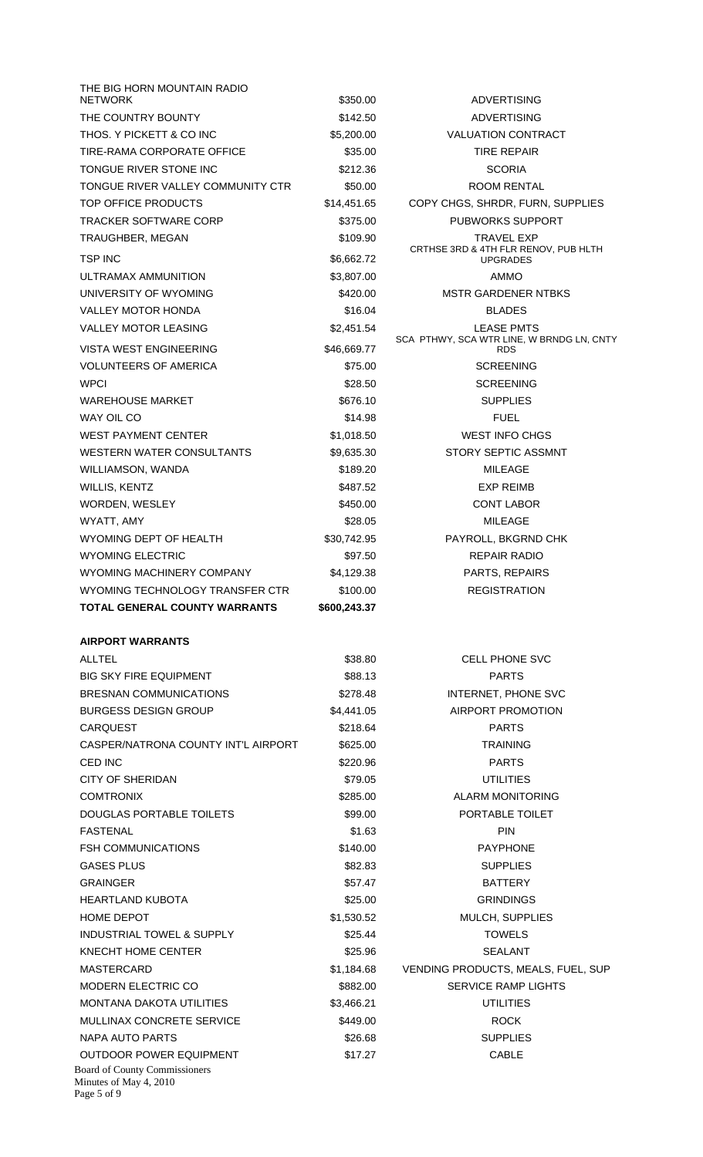| THE BIG HORN MOUNTAIN RADIO                                                   |              |                                                                |
|-------------------------------------------------------------------------------|--------------|----------------------------------------------------------------|
| <b>NETWORK</b>                                                                | \$350.00     | <b>ADVERTISING</b>                                             |
| THE COUNTRY BOUNTY                                                            | \$142.50     | <b>ADVERTISING</b>                                             |
| THOS. Y PICKETT & CO INC                                                      | \$5,200.00   | <b>VALUATION CONTRACT</b>                                      |
| TIRE-RAMA CORPORATE OFFICE                                                    | \$35.00      | <b>TIRE REPAIR</b>                                             |
| TONGUE RIVER STONE INC                                                        | \$212.36     | <b>SCORIA</b>                                                  |
| TONGUE RIVER VALLEY COMMUNITY CTR                                             | \$50.00      | ROOM RENTAL                                                    |
| TOP OFFICE PRODUCTS                                                           | \$14,451.65  | COPY CHGS, SHRDR, FURN, SUPPLIES                               |
| <b>TRACKER SOFTWARE CORP</b>                                                  | \$375.00     | <b>PUBWORKS SUPPORT</b>                                        |
| TRAUGHBER, MEGAN                                                              | \$109.90     | <b>TRAVEL EXP</b><br>CRTHSE 3RD & 4TH FLR RENOV, PUB HLTH      |
| <b>TSP INC</b>                                                                | \$6,662.72   | <b>UPGRADES</b>                                                |
| ULTRAMAX AMMUNITION                                                           | \$3,807.00   | <b>AMMO</b>                                                    |
| UNIVERSITY OF WYOMING                                                         | \$420.00     | <b>MSTR GARDENER NTBKS</b>                                     |
| <b>VALLEY MOTOR HONDA</b>                                                     | \$16.04      | <b>BLADES</b>                                                  |
| <b>VALLEY MOTOR LEASING</b>                                                   | \$2,451.54   | <b>LEASE PMTS</b><br>SCA PTHWY, SCA WTR LINE, W BRNDG LN, CNTY |
| <b>VISTA WEST ENGINEERING</b>                                                 | \$46,669.77  | <b>RDS</b>                                                     |
| <b>VOLUNTEERS OF AMERICA</b>                                                  | \$75.00      | <b>SCREENING</b>                                               |
| <b>WPCI</b>                                                                   | \$28.50      | <b>SCREENING</b>                                               |
| WAREHOUSE MARKET                                                              | \$676.10     | <b>SUPPLIES</b>                                                |
| WAY OIL CO                                                                    | \$14.98      | <b>FUEL</b>                                                    |
| WEST PAYMENT CENTER                                                           | \$1,018.50   | <b>WEST INFO CHGS</b>                                          |
| WESTERN WATER CONSULTANTS                                                     | \$9,635.30   | STORY SEPTIC ASSMNT                                            |
| WILLIAMSON, WANDA                                                             | \$189.20     | <b>MILEAGE</b>                                                 |
| WILLIS, KENTZ                                                                 | \$487.52     | <b>EXP REIMB</b>                                               |
| WORDEN, WESLEY                                                                | \$450.00     | <b>CONT LABOR</b>                                              |
| WYATT, AMY                                                                    | \$28.05      | <b>MILEAGE</b>                                                 |
| WYOMING DEPT OF HEALTH                                                        | \$30,742.95  | PAYROLL, BKGRND CHK                                            |
| <b>WYOMING ELECTRIC</b>                                                       | \$97.50      | <b>REPAIR RADIO</b>                                            |
| WYOMING MACHINERY COMPANY                                                     | \$4,129.38   | PARTS, REPAIRS                                                 |
| WYOMING TECHNOLOGY TRANSFER CTR                                               | \$100.00     | <b>REGISTRATION</b>                                            |
| <b>TOTAL GENERAL COUNTY WARRANTS</b>                                          | \$600,243.37 |                                                                |
| <b>AIRPORT WARRANTS</b>                                                       |              |                                                                |
| <b>ALLTEL</b>                                                                 | \$38.80      | <b>CELL PHONE SVC</b>                                          |
| BIG SKY FIRE EQUIPMENT                                                        | \$88.13      | <b>PARTS</b>                                                   |
| <b>BRESNAN COMMUNICATIONS</b>                                                 | \$278.48     | INTERNET, PHONE SVC                                            |
| <b>BURGESS DESIGN GROUP</b>                                                   | \$4,441.05   | AIRPORT PROMOTION                                              |
| <b>CARQUEST</b>                                                               | \$218.64     | <b>PARTS</b>                                                   |
| CASPER/NATRONA COUNTY INT'L AIRPORT                                           | \$625.00     | TRAINING                                                       |
| CED INC                                                                       | \$220.96     | <b>PARTS</b>                                                   |
| <b>CITY OF SHERIDAN</b>                                                       | \$79.05      | UTILITIES                                                      |
| <b>COMTRONIX</b>                                                              | \$285.00     | <b>ALARM MONITORING</b>                                        |
| DOUGLAS PORTABLE TOILETS                                                      | \$99.00      | PORTABLE TOILET                                                |
| FASTENAL                                                                      | \$1.63       | <b>PIN</b>                                                     |
| <b>FSH COMMUNICATIONS</b>                                                     | \$140.00     | <b>PAYPHONE</b>                                                |
| <b>GASES PLUS</b>                                                             | \$82.83      | <b>SUPPLIES</b>                                                |
| <b>GRAINGER</b>                                                               | \$57.47      | <b>BATTERY</b>                                                 |
| HEARTLAND KUBOTA                                                              | \$25.00      | <b>GRINDINGS</b>                                               |
| HOME DEPOT                                                                    | \$1,530.52   | MULCH, SUPPLIES                                                |
| <b>INDUSTRIAL TOWEL &amp; SUPPLY</b>                                          | \$25.44      | <b>TOWELS</b>                                                  |
| KNECHT HOME CENTER                                                            | \$25.96      | <b>SEALANT</b>                                                 |
| MASTERCARD                                                                    | \$1,184.68   | VENDING PRODUCTS, MEALS, FUEL, SUP                             |
| <b>MODERN ELECTRIC CO</b>                                                     | \$882.00     | <b>SERVICE RAMP LIGHTS</b>                                     |
| <b>MONTANA DAKOTA UTILITIES</b>                                               | \$3,466.21   | <b>UTILITIES</b>                                               |
| MULLINAX CONCRETE SERVICE                                                     | \$449.00     | <b>ROCK</b>                                                    |
| NAPA AUTO PARTS                                                               | \$26.68      | <b>SUPPLIES</b>                                                |
| <b>OUTDOOR POWER EQUIPMENT</b>                                                | \$17.27      | <b>CABLE</b>                                                   |
| <b>Board of County Commissioners</b><br>Minutes of May 4, 2010<br>Page 5 of 9 |              |                                                                |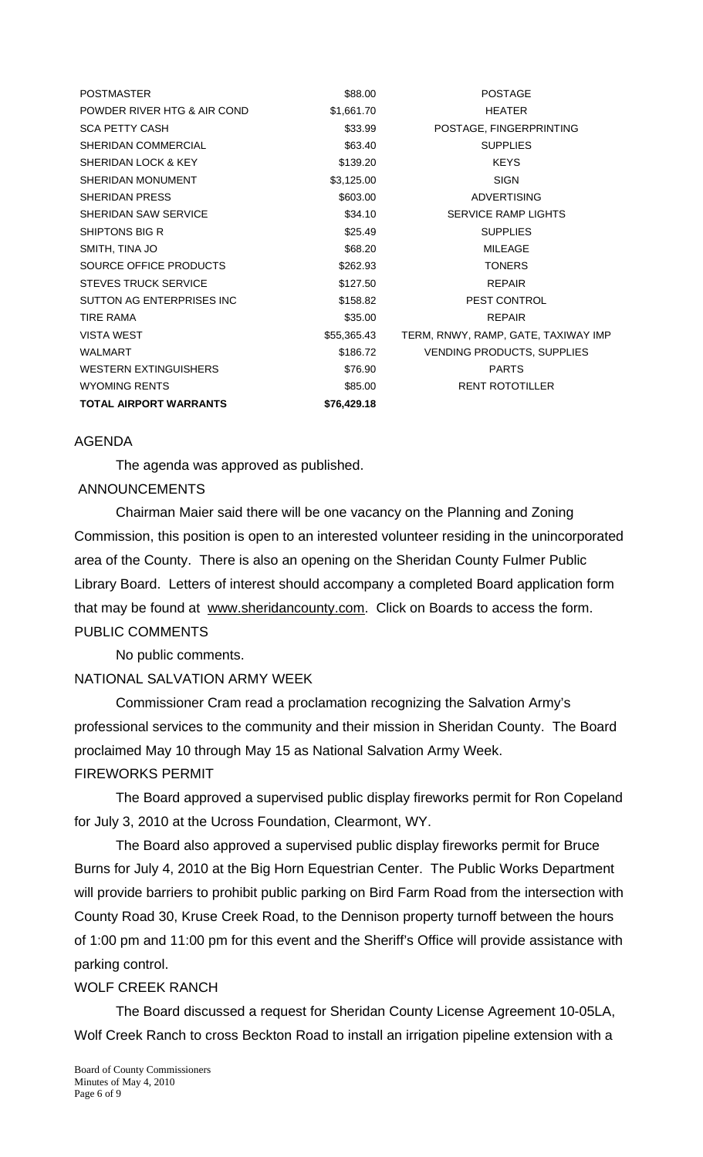| <b>POSTMASTER</b>             | \$88.00     | <b>POSTAGE</b>                      |
|-------------------------------|-------------|-------------------------------------|
| POWDER RIVER HTG & AIR COND   | \$1,661.70  | <b>HEATER</b>                       |
| <b>SCA PETTY CASH</b>         | \$33.99     | POSTAGE, FINGERPRINTING             |
| SHERIDAN COMMERCIAL           | \$63.40     | <b>SUPPLIES</b>                     |
| SHERIDAN LOCK & KEY           | \$139.20    | <b>KEYS</b>                         |
| SHERIDAN MONUMENT             | \$3,125.00  | <b>SIGN</b>                         |
| SHERIDAN PRESS                | \$603.00    | <b>ADVERTISING</b>                  |
| SHERIDAN SAW SERVICE          | \$34.10     | <b>SERVICE RAMP LIGHTS</b>          |
| SHIPTONS BIG R                | \$25.49     | <b>SUPPLIES</b>                     |
| SMITH, TINA JO                | \$68.20     | <b>MILEAGE</b>                      |
| SOURCE OFFICE PRODUCTS        | \$262.93    | <b>TONERS</b>                       |
| <b>STEVES TRUCK SERVICE</b>   | \$127.50    | <b>REPAIR</b>                       |
| SUTTON AG ENTERPRISES INC     | \$158.82    | PEST CONTROL                        |
| <b>TIRE RAMA</b>              | \$35.00     | <b>REPAIR</b>                       |
| <b>VISTA WEST</b>             | \$55,365.43 | TERM, RNWY, RAMP, GATE, TAXIWAY IMP |
| <b>WALMART</b>                | \$186.72    | <b>VENDING PRODUCTS, SUPPLIES</b>   |
| <b>WESTERN EXTINGUISHERS</b>  | \$76.90     | <b>PARTS</b>                        |
| <b>WYOMING RENTS</b>          | \$85.00     | <b>RENT ROTOTILLER</b>              |
| <b>TOTAL AIRPORT WARRANTS</b> | \$76,429.18 |                                     |

#### AGENDA

The agenda was approved as published.

#### ANNOUNCEMENTS

 Chairman Maier said there will be one vacancy on the Planning and Zoning Commission, this position is open to an interested volunteer residing in the unincorporated area of the County. There is also an opening on the Sheridan County Fulmer Public Library Board. Letters of interest should accompany a completed Board application form that may be found at www.sheridancounty.com. Click on Boards to access the form. PUBLIC COMMENTS

No public comments.

# NATIONAL SALVATION ARMY WEEK

 Commissioner Cram read a proclamation recognizing the Salvation Army's professional services to the community and their mission in Sheridan County. The Board proclaimed May 10 through May 15 as National Salvation Army Week. FIREWORKS PERMIT

 The Board approved a supervised public display fireworks permit for Ron Copeland for July 3, 2010 at the Ucross Foundation, Clearmont, WY.

 The Board also approved a supervised public display fireworks permit for Bruce Burns for July 4, 2010 at the Big Horn Equestrian Center. The Public Works Department will provide barriers to prohibit public parking on Bird Farm Road from the intersection with County Road 30, Kruse Creek Road, to the Dennison property turnoff between the hours of 1:00 pm and 11:00 pm for this event and the Sheriff's Office will provide assistance with parking control.

#### WOLF CREEK RANCH

 The Board discussed a request for Sheridan County License Agreement 10-05LA, Wolf Creek Ranch to cross Beckton Road to install an irrigation pipeline extension with a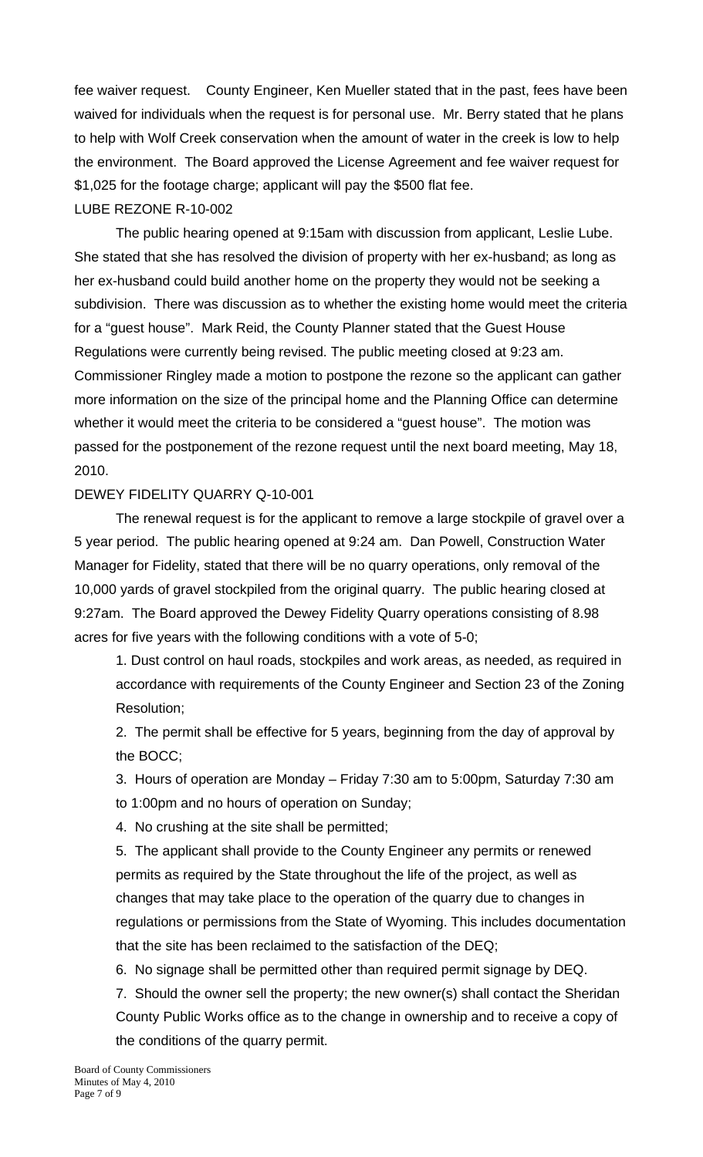fee waiver request. County Engineer, Ken Mueller stated that in the past, fees have been waived for individuals when the request is for personal use. Mr. Berry stated that he plans to help with Wolf Creek conservation when the amount of water in the creek is low to help the environment. The Board approved the License Agreement and fee waiver request for \$1,025 for the footage charge; applicant will pay the \$500 flat fee. LUBE REZONE R-10-002

 The public hearing opened at 9:15am with discussion from applicant, Leslie Lube. She stated that she has resolved the division of property with her ex-husband; as long as her ex-husband could build another home on the property they would not be seeking a subdivision. There was discussion as to whether the existing home would meet the criteria for a "guest house". Mark Reid, the County Planner stated that the Guest House Regulations were currently being revised. The public meeting closed at 9:23 am. Commissioner Ringley made a motion to postpone the rezone so the applicant can gather more information on the size of the principal home and the Planning Office can determine whether it would meet the criteria to be considered a "guest house". The motion was passed for the postponement of the rezone request until the next board meeting, May 18, 2010.

## DEWEY FIDELITY QUARRY Q-10-001

 The renewal request is for the applicant to remove a large stockpile of gravel over a 5 year period. The public hearing opened at 9:24 am. Dan Powell, Construction Water Manager for Fidelity, stated that there will be no quarry operations, only removal of the 10,000 yards of gravel stockpiled from the original quarry. The public hearing closed at 9:27am. The Board approved the Dewey Fidelity Quarry operations consisting of 8.98 acres for five years with the following conditions with a vote of 5-0;

1. Dust control on haul roads, stockpiles and work areas, as needed, as required in accordance with requirements of the County Engineer and Section 23 of the Zoning Resolution;

2. The permit shall be effective for 5 years, beginning from the day of approval by the BOCC;

3. Hours of operation are Monday – Friday 7:30 am to 5:00pm, Saturday 7:30 am

to 1:00pm and no hours of operation on Sunday;

4. No crushing at the site shall be permitted;

5. The applicant shall provide to the County Engineer any permits or renewed permits as required by the State throughout the life of the project, as well as changes that may take place to the operation of the quarry due to changes in regulations or permissions from the State of Wyoming. This includes documentation that the site has been reclaimed to the satisfaction of the DEQ;

6. No signage shall be permitted other than required permit signage by DEQ.

7. Should the owner sell the property; the new owner(s) shall contact the Sheridan County Public Works office as to the change in ownership and to receive a copy of the conditions of the quarry permit.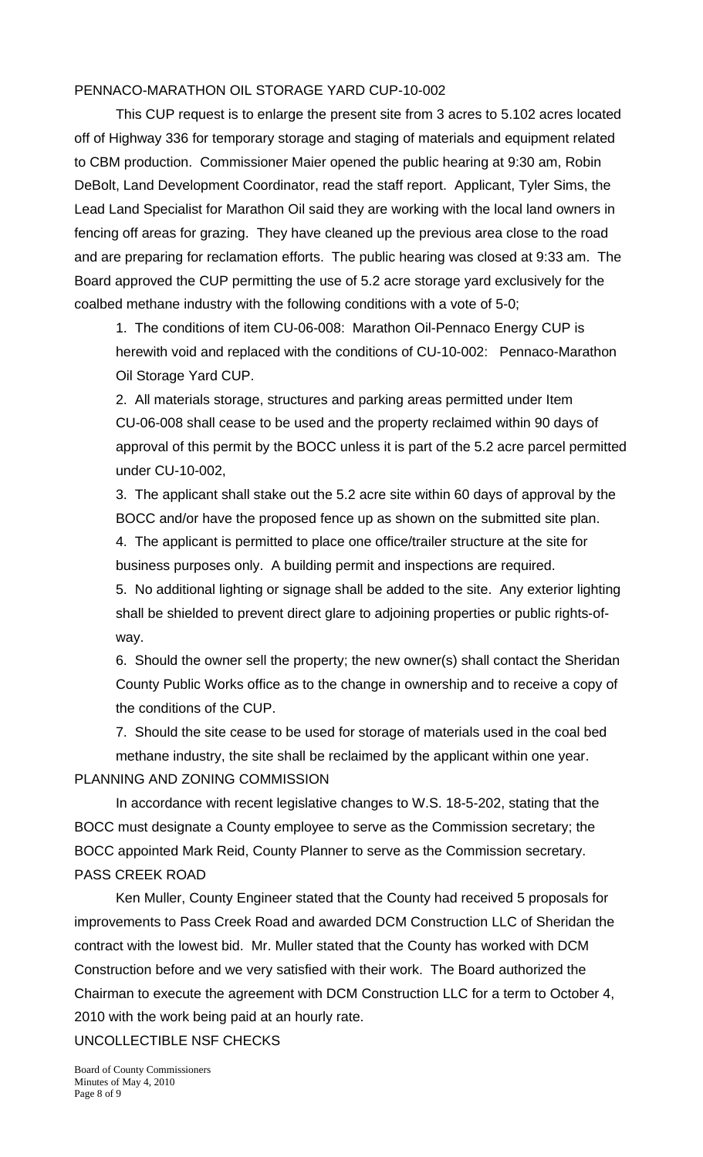## PENNACO-MARATHON OIL STORAGE YARD CUP-10-002

 This CUP request is to enlarge the present site from 3 acres to 5.102 acres located off of Highway 336 for temporary storage and staging of materials and equipment related to CBM production. Commissioner Maier opened the public hearing at 9:30 am, Robin DeBolt, Land Development Coordinator, read the staff report. Applicant, Tyler Sims, the Lead Land Specialist for Marathon Oil said they are working with the local land owners in fencing off areas for grazing. They have cleaned up the previous area close to the road and are preparing for reclamation efforts. The public hearing was closed at 9:33 am. The Board approved the CUP permitting the use of 5.2 acre storage yard exclusively for the coalbed methane industry with the following conditions with a vote of 5-0;

1. The conditions of item CU-06-008: Marathon Oil-Pennaco Energy CUP is herewith void and replaced with the conditions of CU-10-002: Pennaco-Marathon Oil Storage Yard CUP.

2. All materials storage, structures and parking areas permitted under Item CU-06-008 shall cease to be used and the property reclaimed within 90 days of approval of this permit by the BOCC unless it is part of the 5.2 acre parcel permitted under CU-10-002,

3. The applicant shall stake out the 5.2 acre site within 60 days of approval by the BOCC and/or have the proposed fence up as shown on the submitted site plan.

4. The applicant is permitted to place one office/trailer structure at the site for business purposes only. A building permit and inspections are required.

5. No additional lighting or signage shall be added to the site. Any exterior lighting shall be shielded to prevent direct glare to adjoining properties or public rights-ofway.

6. Should the owner sell the property; the new owner(s) shall contact the Sheridan County Public Works office as to the change in ownership and to receive a copy of the conditions of the CUP.

7. Should the site cease to be used for storage of materials used in the coal bed methane industry, the site shall be reclaimed by the applicant within one year. PLANNING AND ZONING COMMISSION

 In accordance with recent legislative changes to W.S. 18-5-202, stating that the BOCC must designate a County employee to serve as the Commission secretary; the BOCC appointed Mark Reid, County Planner to serve as the Commission secretary. PASS CREEK ROAD

 Ken Muller, County Engineer stated that the County had received 5 proposals for improvements to Pass Creek Road and awarded DCM Construction LLC of Sheridan the contract with the lowest bid. Mr. Muller stated that the County has worked with DCM Construction before and we very satisfied with their work. The Board authorized the Chairman to execute the agreement with DCM Construction LLC for a term to October 4, 2010 with the work being paid at an hourly rate.

UNCOLLECTIBLE NSF CHECKS